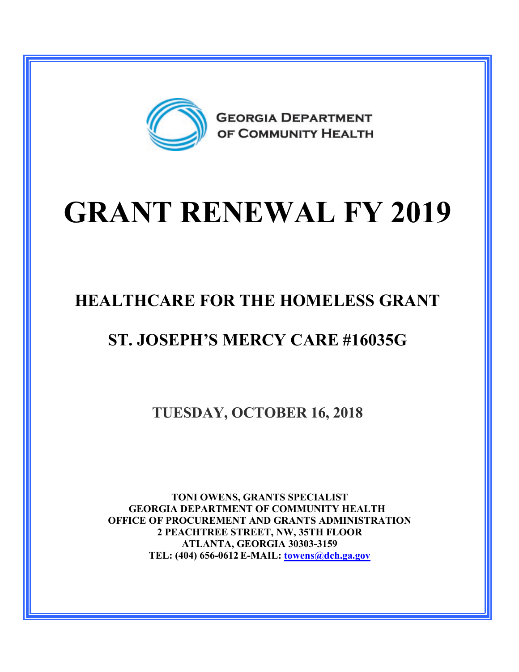

## **GRANT RENEWAL FY 2019**

## **HEALTHCARE FOR THE HOMELESS GRANT**

## **ST. JOSEPH'S MERCY CARE #16035G**

**TUESDAY, OCTOBER 16, 2018**

**TONI OWENS, GRANTS SPECIALIST GEORGIA DEPARTMENT OF COMMUNITY HEALTH OFFICE OF PROCUREMENT AND GRANTS ADMINISTRATION 2 PEACHTREE STREET, NW, 35TH FLOOR ATLANTA, GEORGIA 30303-3159 TEL: (404) 656-0612 E-MAIL: [towens@dch.ga.gov](mailto:towens@dch.ga.gov)**